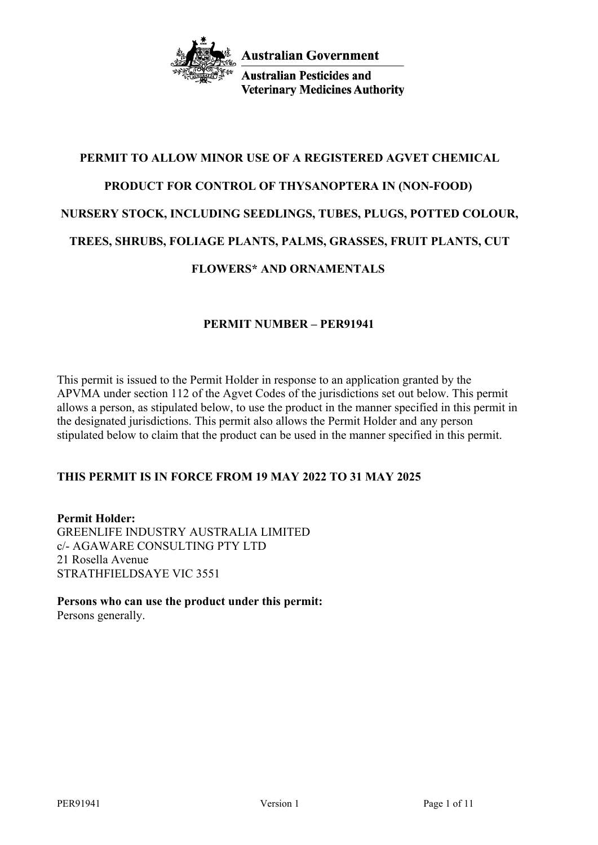

**Australian Pesticides and Veterinary Medicines Authority** 

# **PERMIT TO ALLOW MINOR USE OF A REGISTERED AGVET CHEMICAL PRODUCT FOR CONTROL OF THYSANOPTERA IN (NON-FOOD) NURSERY STOCK, INCLUDING SEEDLINGS, TUBES, PLUGS, POTTED COLOUR, TREES, SHRUBS, FOLIAGE PLANTS, PALMS, GRASSES, FRUIT PLANTS, CUT FLOWERS\* AND ORNAMENTALS**

## **PERMIT NUMBER – PER91941**

This permit is issued to the Permit Holder in response to an application granted by the APVMA under section 112 of the Agvet Codes of the jurisdictions set out below. This permit allows a person, as stipulated below, to use the product in the manner specified in this permit in the designated jurisdictions. This permit also allows the Permit Holder and any person stipulated below to claim that the product can be used in the manner specified in this permit.

# **THIS PERMIT IS IN FORCE FROM 19 MAY 2022 TO 31 MAY 2025**

**Permit Holder:** GREENLIFE INDUSTRY AUSTRALIA LIMITED c/- AGAWARE CONSULTING PTY LTD 21 Rosella Avenue STRATHFIELDSAYE VIC 3551

**Persons who can use the product under this permit:** Persons generally.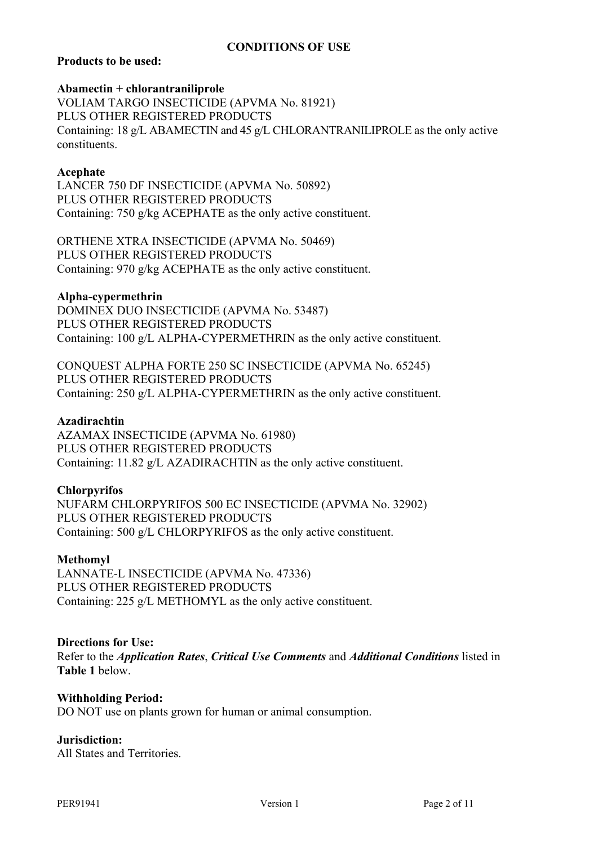## **CONDITIONS OF USE**

## **Products to be used:**

#### **Abamectin + chlorantraniliprole**

VOLIAM TARGO INSECTICIDE (APVMA No. 81921) PLUS OTHER REGISTERED PRODUCTS Containing: 18 g/L ABAMECTIN and 45 g/L CHLORANTRANILIPROLE as the only active constituents.

### **Acephate**

LANCER 750 DF INSECTICIDE (APVMA No. 50892) PLUS OTHER REGISTERED PRODUCTS Containing: 750 g/kg ACEPHATE as the only active constituent.

ORTHENE XTRA INSECTICIDE (APVMA No. 50469) PLUS OTHER REGISTERED PRODUCTS Containing: 970 g/kg ACEPHATE as the only active constituent.

#### **Alpha-cypermethrin**

DOMINEX DUO INSECTICIDE (APVMA No. 53487) PLUS OTHER REGISTERED PRODUCTS Containing: 100 g/L ALPHA-CYPERMETHRIN as the only active constituent.

CONQUEST ALPHA FORTE 250 SC INSECTICIDE (APVMA No. 65245) PLUS OTHER REGISTERED PRODUCTS Containing: 250 g/L ALPHA-CYPERMETHRIN as the only active constituent.

#### **Azadirachtin**

AZAMAX INSECTICIDE (APVMA No. 61980) PLUS OTHER REGISTERED PRODUCTS Containing: 11.82 g/L AZADIRACHTIN as the only active constituent.

### **Chlorpyrifos**

NUFARM CHLORPYRIFOS 500 EC INSECTICIDE (APVMA No. 32902) PLUS OTHER REGISTERED PRODUCTS Containing: 500 g/L CHLORPYRIFOS as the only active constituent.

### **Methomyl**

LANNATE-L INSECTICIDE (APVMA No. 47336) PLUS OTHER REGISTERED PRODUCTS Containing: 225 g/L METHOMYL as the only active constituent.

#### **Directions for Use:**

Refer to the *Application Rates*, *Critical Use Comments* and *Additional Conditions* listed in **Table 1** below.

### **Withholding Period:**

DO NOT use on plants grown for human or animal consumption.

### **Jurisdiction:**

All States and Territories.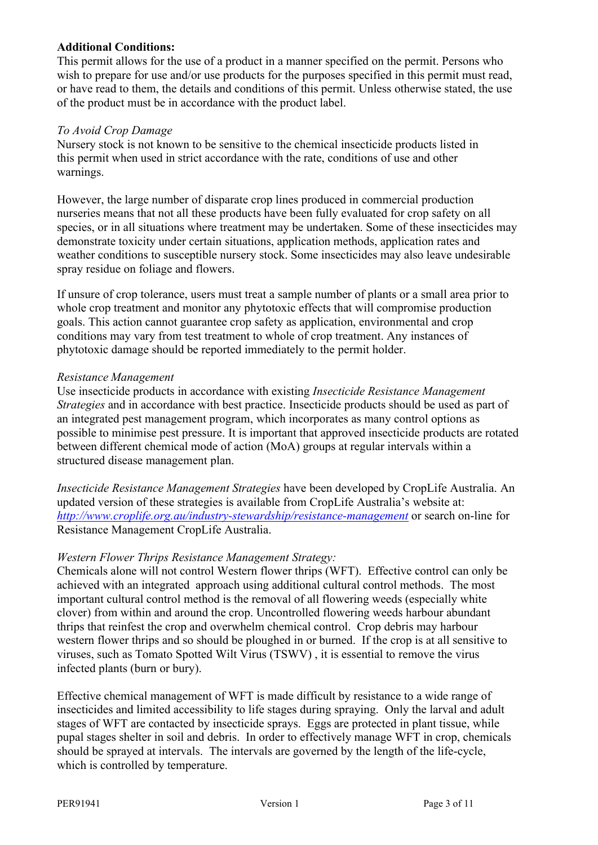## **Additional Conditions:**

This permit allows for the use of a product in a manner specified on the permit. Persons who wish to prepare for use and/or use products for the purposes specified in this permit must read, or have read to them, the details and conditions of this permit. Unless otherwise stated, the use of the product must be in accordance with the product label.

## *To Avoid Crop Damage*

Nursery stock is not known to be sensitive to the chemical insecticide products listed in this permit when used in strict accordance with the rate, conditions of use and other warnings.

However, the large number of disparate crop lines produced in commercial production nurseries means that not all these products have been fully evaluated for crop safety on all species, or in all situations where treatment may be undertaken. Some of these insecticides may demonstrate toxicity under certain situations, application methods, application rates and weather conditions to susceptible nursery stock. Some insecticides may also leave undesirable spray residue on foliage and flowers.

If unsure of crop tolerance, users must treat a sample number of plants or a small area prior to whole crop treatment and monitor any phytotoxic effects that will compromise production goals. This action cannot guarantee crop safety as application, environmental and crop conditions may vary from test treatment to whole of crop treatment. Any instances of phytotoxic damage should be reported immediately to the permit holder.

### *Resistance Management*

Use insecticide products in accordance with existing *Insecticide Resistance Management Strategies* and in accordance with best practice. Insecticide products should be used as part of an integrated pest management program, which incorporates as many control options as possible to minimise pest pressure. It is important that approved insecticide products are rotated between different chemical mode of action (MoA) groups at regular intervals within a structured disease management plan.

*Insecticide Resistance Management Strategies* have been developed by CropLife Australia. An updated version of these strategies is available from CropLife Australia's website at: *<http://www.croplife.org.au/industry-stewardship/resistance-management>* or search on-line for Resistance Management CropLife Australia.

## *Western Flower Thrips Resistance Management Strategy:*

Chemicals alone will not control Western flower thrips (WFT). Effective control can only be achieved with an integrated approach using additional cultural control methods. The most important cultural control method is the removal of all flowering weeds (especially white clover) from within and around the crop. Uncontrolled flowering weeds harbour abundant thrips that reinfest the crop and overwhelm chemical control. Crop debris may harbour western flower thrips and so should be ploughed in or burned. If the crop is at all sensitive to viruses, such as Tomato Spotted Wilt Virus (TSWV) , it is essential to remove the virus infected plants (burn or bury).

Effective chemical management of WFT is made difficult by resistance to a wide range of insecticides and limited accessibility to life stages during spraying. Only the larval and adult stages of WFT are contacted by insecticide sprays. Eggs are protected in plant tissue, while pupal stages shelter in soil and debris. In order to effectively manage WFT in crop, chemicals should be sprayed at intervals. The intervals are governed by the length of the life-cycle, which is controlled by temperature.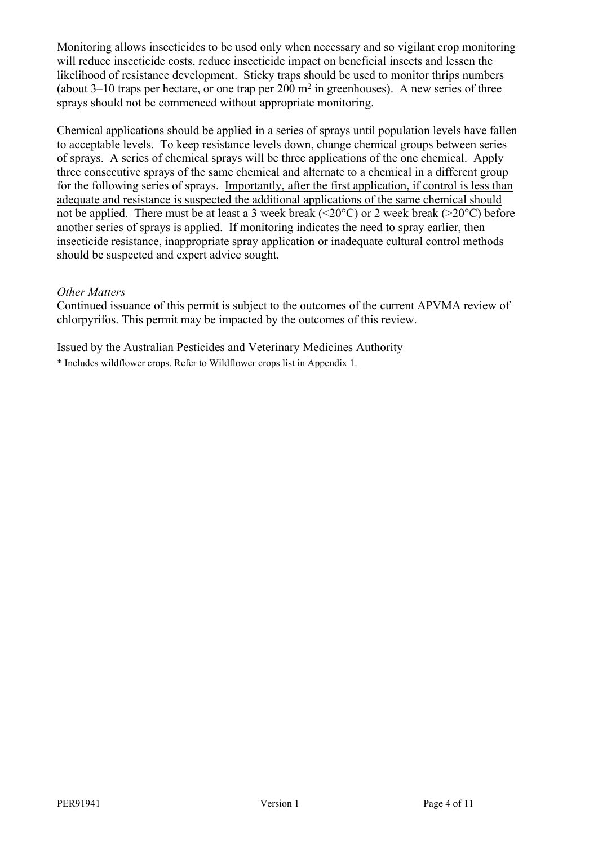Monitoring allows insecticides to be used only when necessary and so vigilant crop monitoring will reduce insecticide costs, reduce insecticide impact on beneficial insects and lessen the likelihood of resistance development. Sticky traps should be used to monitor thrips numbers (about  $3-10$  traps per hectare, or one trap per  $200 \text{ m}^2$  in greenhouses). A new series of three sprays should not be commenced without appropriate monitoring.

Chemical applications should be applied in a series of sprays until population levels have fallen to acceptable levels. To keep resistance levels down, change chemical groups between series of sprays. A series of chemical sprays will be three applications of the one chemical. Apply three consecutive sprays of the same chemical and alternate to a chemical in a different group for the following series of sprays. Importantly, after the first application, if control is less than adequate and resistance is suspected the additional applications of the same chemical should not be applied. There must be at least a 3 week break (<20 $^{\circ}$ C) or 2 week break (>20 $^{\circ}$ C) before another series of sprays is applied. If monitoring indicates the need to spray earlier, then insecticide resistance, inappropriate spray application or inadequate cultural control methods should be suspected and expert advice sought.

### *Other Matters*

Continued issuance of this permit is subject to the outcomes of the current APVMA review of chlorpyrifos. This permit may be impacted by the outcomes of this review.

Issued by the Australian Pesticides and Veterinary Medicines Authority

\* Includes wildflower crops. Refer to Wildflower crops list in Appendix 1.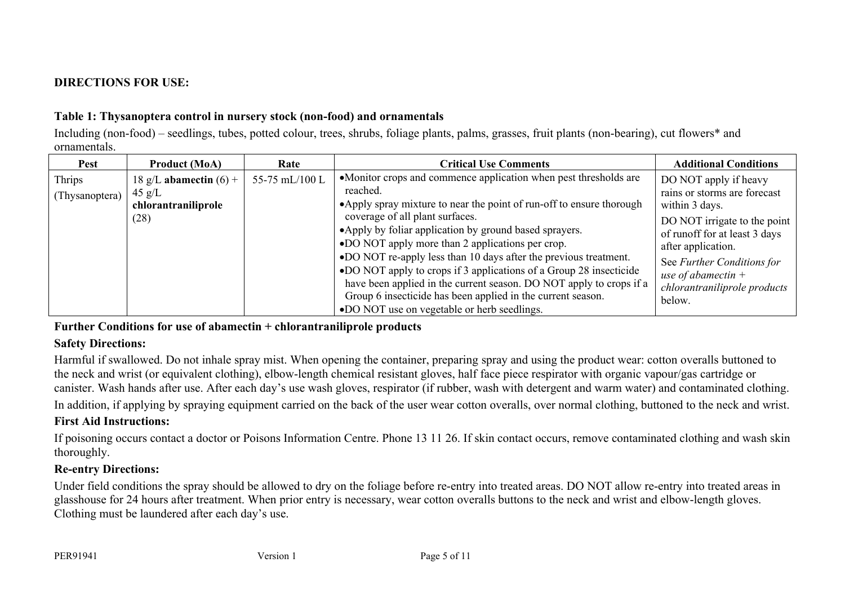# **DIRECTIONS FOR USE:**

## **Table 1: Thysanoptera control in nursery stock (non-food) and ornamentals**

Including (non-food) – seedlings, tubes, potted colour, trees, shrubs, foliage plants, palms, grasses, fruit plants (non-bearing), cut flowers\* and ornamentals.

| Pest                     | <b>Product (MoA)</b>                                                        | Rate           | <b>Critical Use Comments</b>                                                                                                                                                                                                                                                                                                                                                                                                                                                                                                                                                                                                           | <b>Additional Conditions</b>                                                                                                                                                                                                                                     |
|--------------------------|-----------------------------------------------------------------------------|----------------|----------------------------------------------------------------------------------------------------------------------------------------------------------------------------------------------------------------------------------------------------------------------------------------------------------------------------------------------------------------------------------------------------------------------------------------------------------------------------------------------------------------------------------------------------------------------------------------------------------------------------------------|------------------------------------------------------------------------------------------------------------------------------------------------------------------------------------------------------------------------------------------------------------------|
| Thrips<br>(Thysanoptera) | 18 g/L abamectin $(6)$ +<br>$45 \text{ g/L}$<br>chlorantraniliprole<br>(28) | 55-75 mL/100 L | •Monitor crops and commence application when pest thresholds are<br>reached.<br>• Apply spray mixture to near the point of run-off to ensure thorough<br>coverage of all plant surfaces.<br>• Apply by foliar application by ground based sprayers.<br>•DO NOT apply more than 2 applications per crop.<br>•DO NOT re-apply less than 10 days after the previous treatment.<br>•DO NOT apply to crops if 3 applications of a Group 28 insecticide<br>have been applied in the current season. DO NOT apply to crops if a<br>Group 6 insecticide has been applied in the current season.<br>•DO NOT use on vegetable or herb seedlings. | DO NOT apply if heavy<br>rains or storms are forecast<br>within 3 days.<br>DO NOT irrigate to the point  <br>of runoff for at least 3 days<br>after application.<br>See Further Conditions for<br>use of abamectin $+$<br>chlorantraniliprole products<br>below. |

## **Further Conditions for use of abamectin + chlorantraniliprole products**

## **Safety Directions:**

Harmful if swallowed. Do not inhale spray mist. When opening the container, preparing spray and using the product wear: cotton overalls buttoned to the neck and wrist (or equivalent clothing), elbow-length chemical resistant gloves, half face piece respirator with organic vapour/gas cartridge or canister. Wash hands after use. After each day's use wash gloves, respirator (if rubber, wash with detergent and warm water) and contaminated clothing.

In addition, if applying by spraying equipment carried on the back of the user wear cotton overalls, over normal clothing, buttoned to the neck and wrist.

## **First Aid Instructions:**

If poisoning occurs contact a doctor or Poisons Information Centre. Phone 13 11 26. If skin contact occurs, remove contaminated clothing and wash skin thoroughly.

# **Re-entry Directions:**

Under field conditions the spray should be allowed to dry on the foliage before re-entry into treated areas. DO NOT allow re-entry into treated areas in glasshouse for 24 hours after treatment. When prior entry is necessary, wear cotton overalls buttons to the neck and wrist and elbow-length gloves. Clothing must be laundered after each day's use.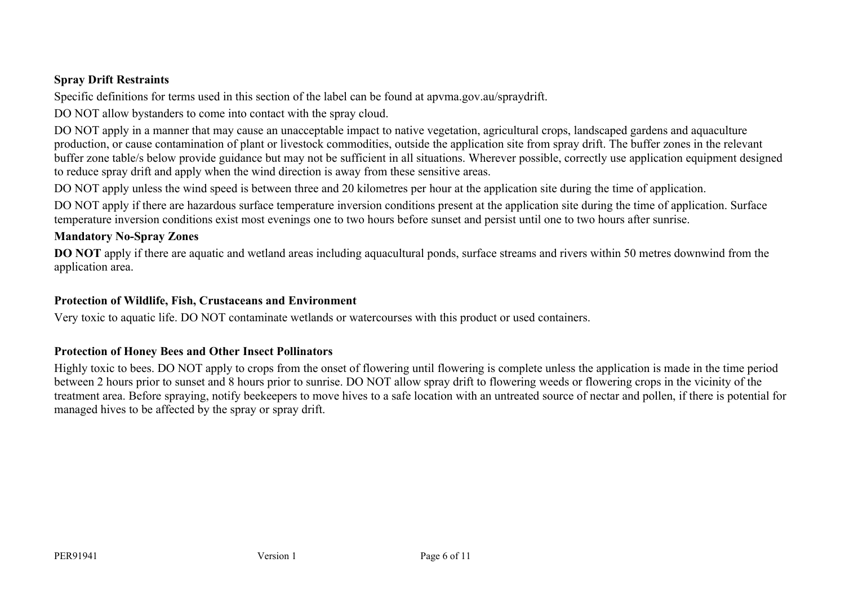## **Spray Drift Restraints**

Specific definitions for terms used in this section of the label can be found at apvma.gov.au/spraydrift.

DO NOT allow bystanders to come into contact with the spray cloud.

DO NOT apply in a manner that may cause an unacceptable impact to native vegetation, agricultural crops, landscaped gardens and aquaculture production, or cause contamination of plant or livestock commodities, outside the application site from spray drift. The buffer zones in the relevant buffer zone table/s below provide guidance but may not be sufficient in all situations. Wherever possible, correctly use application equipment designed to reduce spray drift and apply when the wind direction is away from these sensitive areas.

DO NOT apply unless the wind speed is between three and 20 kilometres per hour at the application site during the time of application.

DO NOT apply if there are hazardous surface temperature inversion conditions present at the application site during the time of application. Surface temperature inversion conditions exist most evenings one to two hours before sunset and persist until one to two hours after sunrise.

## **Mandatory No-Spray Zones**

**DO** NOT apply if there are aquatic and wetland areas including aquacultural ponds, surface streams and rivers within 50 metres downwind from the application area.

## **Protection of Wildlife, Fish, Crustaceans and Environment**

Very toxic to aquatic life. DO NOT contaminate wetlands or watercourses with this product or used containers.

# **Protection of Honey Bees and Other Insect Pollinators**

Highly toxic to bees. DO NOT apply to crops from the onset of flowering until flowering is complete unless the application is made in the time period between 2 hours prior to sunset and 8 hours prior to sunrise. DO NOT allow spray drift to flowering weeds or flowering crops in the vicinity of the treatment area. Before spraying, notify beekeepers to move hives to a safe location with an untreated source of nectar and pollen, if there is potential for managed hives to be affected by the spray or spray drift.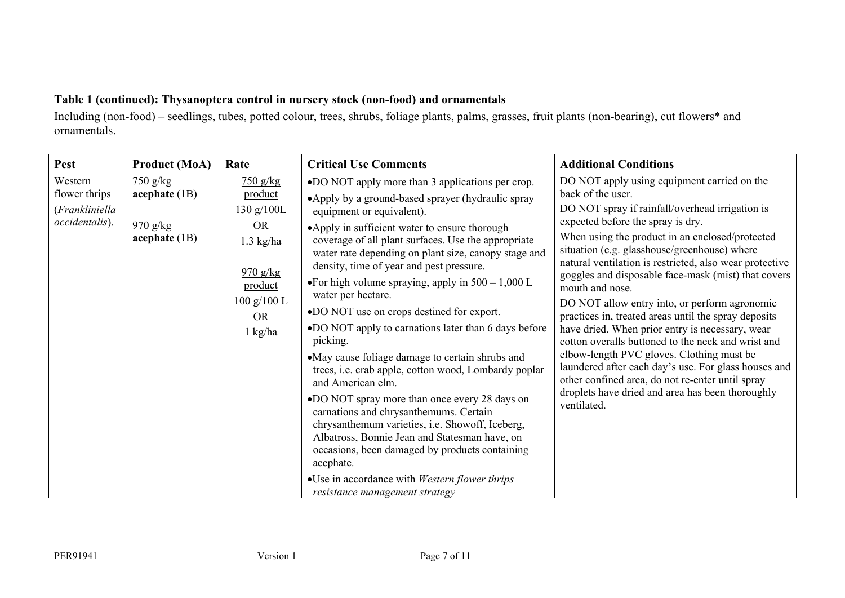# **Table 1 (continued): Thysanoptera control in nursery stock (non-food) and ornamentals**

Including (non-food) – seedlings, tubes, potted colour, trees, shrubs, foliage plants, palms, grasses, fruit plants (non-bearing), cut flowers\* and ornamentals.

| Pest                                                         | <b>Product (MoA)</b>                                           | Rate                                                                                                                            | <b>Critical Use Comments</b>                                                                                                                                                                                                                                                                                                                                                                                                                                                                                                                                                                                                                                                                                                                                                                                                                                                                                                                                                                                                            | <b>Additional Conditions</b>                                                                                                                                                                                                                                                                                                                                                                                                                                                                                                                                                                                                                                                                                                                                                                                                                   |
|--------------------------------------------------------------|----------------------------------------------------------------|---------------------------------------------------------------------------------------------------------------------------------|-----------------------------------------------------------------------------------------------------------------------------------------------------------------------------------------------------------------------------------------------------------------------------------------------------------------------------------------------------------------------------------------------------------------------------------------------------------------------------------------------------------------------------------------------------------------------------------------------------------------------------------------------------------------------------------------------------------------------------------------------------------------------------------------------------------------------------------------------------------------------------------------------------------------------------------------------------------------------------------------------------------------------------------------|------------------------------------------------------------------------------------------------------------------------------------------------------------------------------------------------------------------------------------------------------------------------------------------------------------------------------------------------------------------------------------------------------------------------------------------------------------------------------------------------------------------------------------------------------------------------------------------------------------------------------------------------------------------------------------------------------------------------------------------------------------------------------------------------------------------------------------------------|
| Western<br>flower thrips<br>(Frankliniella<br>occidentalis). | $750$ g/kg<br>acceptiate (1B)<br>$970$ g/kg<br>acceptiate (1B) | $750$ g/kg<br>product<br>130 g/100L<br><b>OR</b><br>$1.3$ kg/ha<br>$970$ g/kg<br>product<br>100 g/100 L<br><b>OR</b><br>1 kg/ha | •DO NOT apply more than 3 applications per crop.<br>•Apply by a ground-based sprayer (hydraulic spray<br>equipment or equivalent).<br>•Apply in sufficient water to ensure thorough<br>coverage of all plant surfaces. Use the appropriate<br>water rate depending on plant size, canopy stage and<br>density, time of year and pest pressure.<br>• For high volume spraying, apply in $500 - 1,000$ L<br>water per hectare.<br>•DO NOT use on crops destined for export.<br>•DO NOT apply to carnations later than 6 days before<br>picking.<br>• May cause foliage damage to certain shrubs and<br>trees, i.e. crab apple, cotton wood, Lombardy poplar<br>and American elm.<br>•DO NOT spray more than once every 28 days on<br>carnations and chrysanthemums. Certain<br>chrysanthemum varieties, i.e. Showoff, Iceberg,<br>Albatross, Bonnie Jean and Statesman have, on<br>occasions, been damaged by products containing<br>acephate.<br>• Use in accordance with <i>Western flower thrips</i><br>resistance management strategy | DO NOT apply using equipment carried on the<br>back of the user.<br>DO NOT spray if rainfall/overhead irrigation is<br>expected before the spray is dry.<br>When using the product in an enclosed/protected<br>situation (e.g. glasshouse/greenhouse) where<br>natural ventilation is restricted, also wear protective<br>goggles and disposable face-mask (mist) that covers<br>mouth and nose.<br>DO NOT allow entry into, or perform agronomic<br>practices in, treated areas until the spray deposits<br>have dried. When prior entry is necessary, wear<br>cotton overalls buttoned to the neck and wrist and<br>elbow-length PVC gloves. Clothing must be<br>laundered after each day's use. For glass houses and<br>other confined area, do not re-enter until spray<br>droplets have dried and area has been thoroughly<br>ventilated. |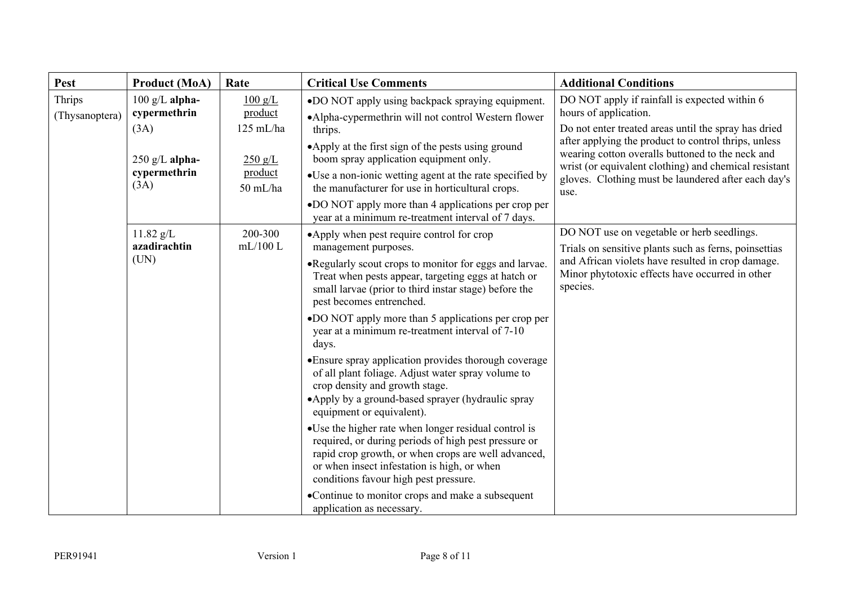| Pest                     | <b>Product (MoA)</b>                                                                 | Rate                                                                                    | <b>Critical Use Comments</b>                                                                                                                                                                                                                                                                                                                                                                                                                                                                                                                                                                                                                                                                                                                                                                                                                                                                                                                                                    | <b>Additional Conditions</b>                                                                                                                                                                                                                                                                                                                                       |
|--------------------------|--------------------------------------------------------------------------------------|-----------------------------------------------------------------------------------------|---------------------------------------------------------------------------------------------------------------------------------------------------------------------------------------------------------------------------------------------------------------------------------------------------------------------------------------------------------------------------------------------------------------------------------------------------------------------------------------------------------------------------------------------------------------------------------------------------------------------------------------------------------------------------------------------------------------------------------------------------------------------------------------------------------------------------------------------------------------------------------------------------------------------------------------------------------------------------------|--------------------------------------------------------------------------------------------------------------------------------------------------------------------------------------------------------------------------------------------------------------------------------------------------------------------------------------------------------------------|
| Thrips<br>(Thysanoptera) | $100$ g/L alpha-<br>cypermethrin<br>(3A)<br>$250$ g/L alpha-<br>cypermethrin<br>(3A) | $100 \text{ g/L}$<br>product<br>$125$ mL/ha<br>$250 \text{ g/L}$<br>product<br>50 mL/ha | •DO NOT apply using backpack spraying equipment.<br>•Alpha-cypermethrin will not control Western flower<br>thrips.<br>•Apply at the first sign of the pests using ground<br>boom spray application equipment only.<br>• Use a non-ionic wetting agent at the rate specified by<br>the manufacturer for use in horticultural crops.<br>•DO NOT apply more than 4 applications per crop per<br>year at a minimum re-treatment interval of 7 days.                                                                                                                                                                                                                                                                                                                                                                                                                                                                                                                                 | DO NOT apply if rainfall is expected within 6<br>hours of application.<br>Do not enter treated areas until the spray has dried<br>after applying the product to control thrips, unless<br>wearing cotton overalls buttoned to the neck and<br>wrist (or equivalent clothing) and chemical resistant<br>gloves. Clothing must be laundered after each day's<br>use. |
|                          | $11.82$ g/L<br>azadirachtin<br>(UN)                                                  | 200-300<br>mL/100L                                                                      | •Apply when pest require control for crop<br>management purposes.<br>• Regularly scout crops to monitor for eggs and larvae.<br>Treat when pests appear, targeting eggs at hatch or<br>small larvae (prior to third instar stage) before the<br>pest becomes entrenched.<br>•DO NOT apply more than 5 applications per crop per<br>year at a minimum re-treatment interval of 7-10<br>days.<br>• Ensure spray application provides thorough coverage<br>of all plant foliage. Adjust water spray volume to<br>crop density and growth stage.<br>•Apply by a ground-based sprayer (hydraulic spray<br>equipment or equivalent).<br>• Use the higher rate when longer residual control is<br>required, or during periods of high pest pressure or<br>rapid crop growth, or when crops are well advanced,<br>or when insect infestation is high, or when<br>conditions favour high pest pressure.<br>•Continue to monitor crops and make a subsequent<br>application as necessary. | DO NOT use on vegetable or herb seedlings.<br>Trials on sensitive plants such as ferns, poinsettias<br>and African violets have resulted in crop damage.<br>Minor phytotoxic effects have occurred in other<br>species.                                                                                                                                            |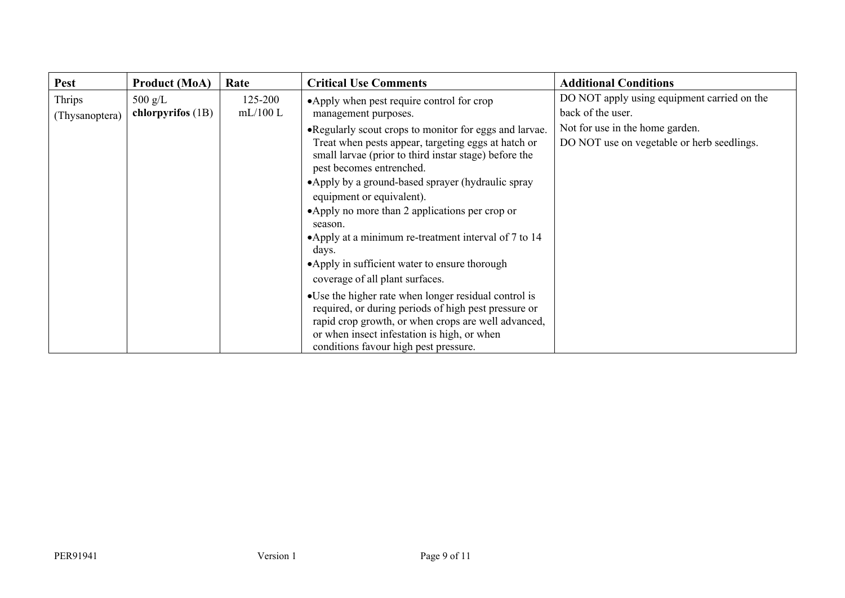| <b>Pest</b>              | <b>Product (MoA)</b>                   | Rate               | <b>Critical Use Comments</b>                                                                                                                                                                                                                                                                                                                                                                                                                                                                             | <b>Additional Conditions</b>                                                  |
|--------------------------|----------------------------------------|--------------------|----------------------------------------------------------------------------------------------------------------------------------------------------------------------------------------------------------------------------------------------------------------------------------------------------------------------------------------------------------------------------------------------------------------------------------------------------------------------------------------------------------|-------------------------------------------------------------------------------|
| Thrips<br>(Thysanoptera) | $500 \text{ g/L}$<br>chlorpyrifos (1B) | 125-200<br>mL/100L | •Apply when pest require control for crop<br>management purposes.                                                                                                                                                                                                                                                                                                                                                                                                                                        | DO NOT apply using equipment carried on the<br>back of the user.              |
|                          |                                        |                    | • Regularly scout crops to monitor for eggs and larvae.<br>Treat when pests appear, targeting eggs at hatch or<br>small larvae (prior to third instar stage) before the<br>pest becomes entrenched.<br>•Apply by a ground-based sprayer (hydraulic spray<br>equipment or equivalent).<br>•Apply no more than 2 applications per crop or<br>season.<br>•Apply at a minimum re-treatment interval of 7 to 14<br>days.<br>• Apply in sufficient water to ensure thorough<br>coverage of all plant surfaces. | Not for use in the home garden.<br>DO NOT use on vegetable or herb seedlings. |
|                          |                                        |                    | • Use the higher rate when longer residual control is<br>required, or during periods of high pest pressure or<br>rapid crop growth, or when crops are well advanced,<br>or when insect infestation is high, or when<br>conditions favour high pest pressure.                                                                                                                                                                                                                                             |                                                                               |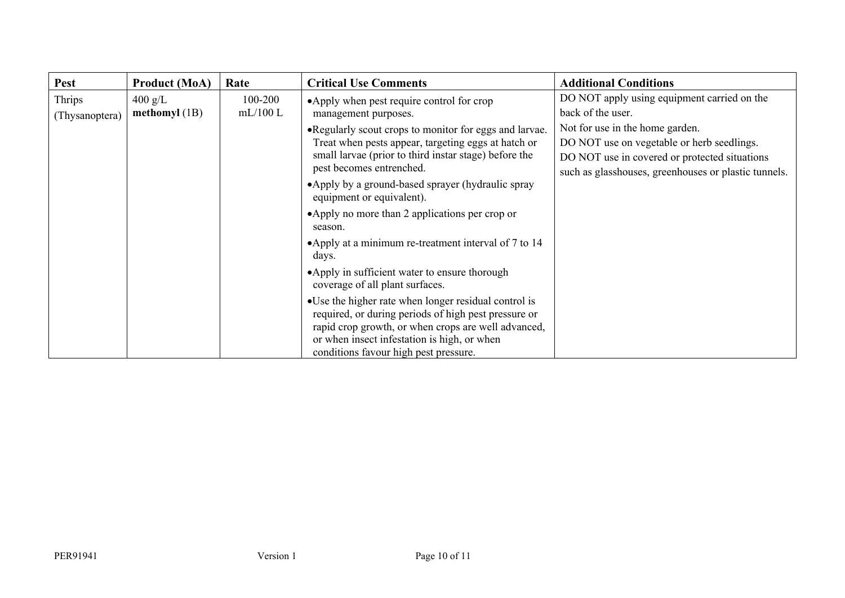| <b>Pest</b>              | <b>Product (MoA)</b>                 | Rate               | <b>Critical Use Comments</b>                                                                                                                                                                                                                                 | <b>Additional Conditions</b>                                                                                                                                                           |
|--------------------------|--------------------------------------|--------------------|--------------------------------------------------------------------------------------------------------------------------------------------------------------------------------------------------------------------------------------------------------------|----------------------------------------------------------------------------------------------------------------------------------------------------------------------------------------|
| Thrips<br>(Thysanoptera) | $400 \text{ g/L}$<br>methomyl $(1B)$ | 100-200<br>mL/100L | •Apply when pest require control for crop<br>management purposes.                                                                                                                                                                                            | DO NOT apply using equipment carried on the<br>back of the user.                                                                                                                       |
|                          |                                      |                    | • Regularly scout crops to monitor for eggs and larvae.<br>Treat when pests appear, targeting eggs at hatch or<br>small larvae (prior to third instar stage) before the<br>pest becomes entrenched.                                                          | Not for use in the home garden.<br>DO NOT use on vegetable or herb seedlings.<br>DO NOT use in covered or protected situations<br>such as glasshouses, greenhouses or plastic tunnels. |
|                          |                                      |                    | •Apply by a ground-based sprayer (hydraulic spray<br>equipment or equivalent).                                                                                                                                                                               |                                                                                                                                                                                        |
|                          |                                      |                    | •Apply no more than 2 applications per crop or<br>season.                                                                                                                                                                                                    |                                                                                                                                                                                        |
|                          |                                      |                    | •Apply at a minimum re-treatment interval of 7 to 14<br>days.                                                                                                                                                                                                |                                                                                                                                                                                        |
|                          |                                      |                    | • Apply in sufficient water to ensure thorough<br>coverage of all plant surfaces.                                                                                                                                                                            |                                                                                                                                                                                        |
|                          |                                      |                    | • Use the higher rate when longer residual control is<br>required, or during periods of high pest pressure or<br>rapid crop growth, or when crops are well advanced,<br>or when insect infestation is high, or when<br>conditions favour high pest pressure. |                                                                                                                                                                                        |